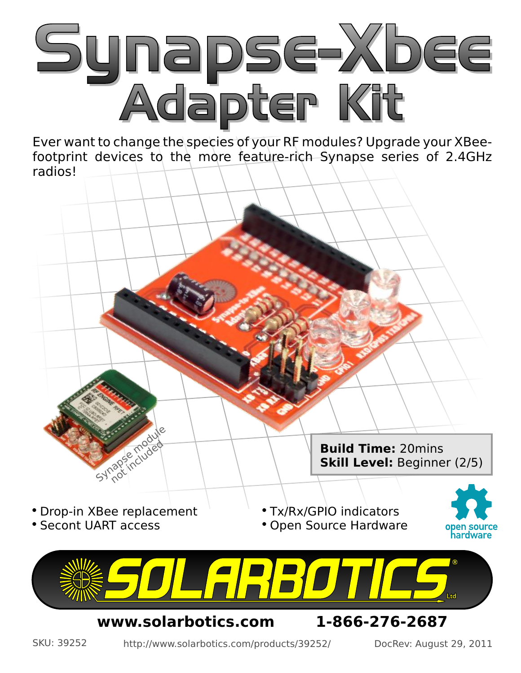

Ever want to change the species of your RF modules? Upgrade your XBeefootprint devices to the more feature-rich Synapse series of 2.4GHz radios!





SKU: 39252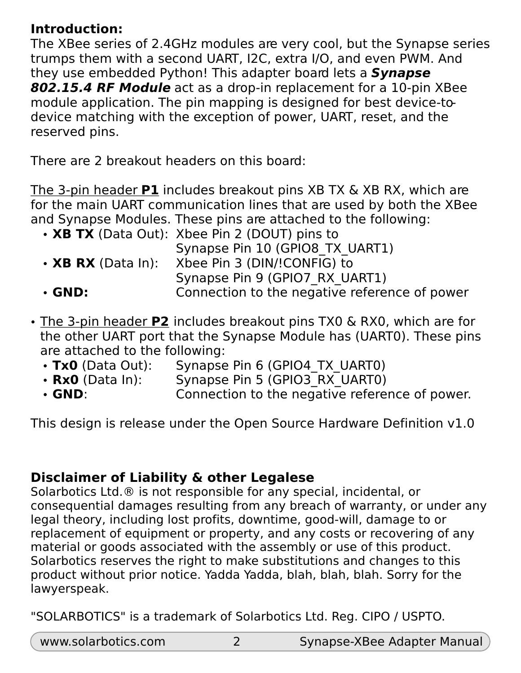#### **Introduction:**

The XBee series of 2.4GHz modules are very cool, but the Synapse series trumps them with a second UART, I2C, extra I/O, and even PWM. And they use embedded Python! This adapter board lets a *Synapse 802.15.4 RF Module* act as a drop-in replacement for a 10-pin XBee module application. The pin mapping is designed for best device-todevice matching with the exception of power, UART, reset, and the reserved pins.

There are 2 breakout headers on this board:

The 3-pin header **P1** includes breakout pins XB TX & XB RX, which are for the main UART communication lines that are used by both the XBee

- and Synapse Modules. These pins are attached to the following:<br>• XB TX (Data Out): Xbee Pin 2 (DOUT) pins to **XB TX** (Data Out): Xbee Pin 2 (DOUT) pins to<br>Synapse Pin 10 (GPIO8 TX UART1) Synapse Pin 10 (GPIO8\_TX\_UART1)<br>• **XB RX** (Data In): Xbee Pin 3 (DIN/!CONFIG) to Synapse Pin 9 (GPIO7\_RX\_UART1)<br>• GND: Connection to the negative reference of power
- The 3-pin header **P2** includes breakout pins TX0 & RX0, which are for the other UART port that the Synapse Module has (UART0). These pins
	- are attached to the following:<br>• Tx0 (Data Out): Synapse **Tx0** (Data Out): Synapse Pin 6 (GPIO4\_TX\_UART0)<br>**· Rx0** (Data In): Synapse Pin 5 (GPIO3\_RX\_UART0)
	-
	- **Rx0** (Data In): Synapse Pin 5 (GPIO3\_RX\_UART0)<br>• **GND**: Connection to the negative reference of power.

This design is release under the Open Source Hardware Definition v1.0

### **Disclaimer of Liability & other Legalese**

Solarbotics Ltd.® is not responsible for any special, incidental, or consequential damages resulting from any breach of warranty, or under any legal theory, including lost profits, downtime, good-will, damage to or replacement of equipment or property, and any costs or recovering of any material or goods associated with the assembly or use of this product. Solarbotics reserves the right to make substitutions and changes to this product without prior notice. Yadda Yadda, blah, blah, blah. Sorry for the lawyerspeak.

"SOLARBOTICS" is a trademark of Solarbotics Ltd. Reg. CIPO / USPTO.

www.solarbotics.com 2 Synapse-XBee Adapter Manual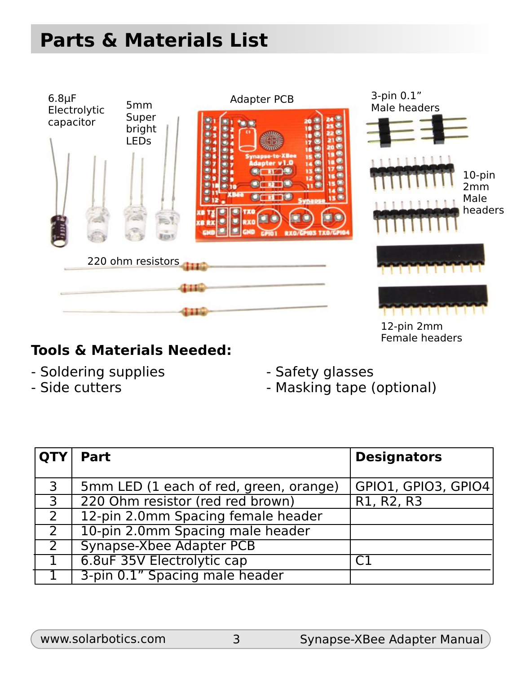# **Parts & Materials List**



Female headers

### **Tools & Materials Needed:**

- Soldering supplies Safety glasses<br>- Side cutters Side cutters
- 
- 
- Masking tape (optional)

| $ \mathsf{QTY} $        | Part                                   | <b>Designators</b>  |
|-------------------------|----------------------------------------|---------------------|
|                         |                                        |                     |
| $\overline{3}$          | 5mm LED (1 each of red, green, orange) | GPIO1, GPIO3, GPIO4 |
| $\overline{\mathbf{3}}$ | 220 Ohm resistor (red red brown)       | R1, R2, R3          |
| $\overline{2}$          | 12-pin 2.0mm Spacing female header     |                     |
| $\overline{2}$          | 10-pin 2.0mm Spacing male header       |                     |
| $-2$                    | Synapse-Xbee Adapter PCB               |                     |
|                         | 6.8uF 35V Electrolytic cap             |                     |
|                         | 3-pin 0.1" Spacing male header         |                     |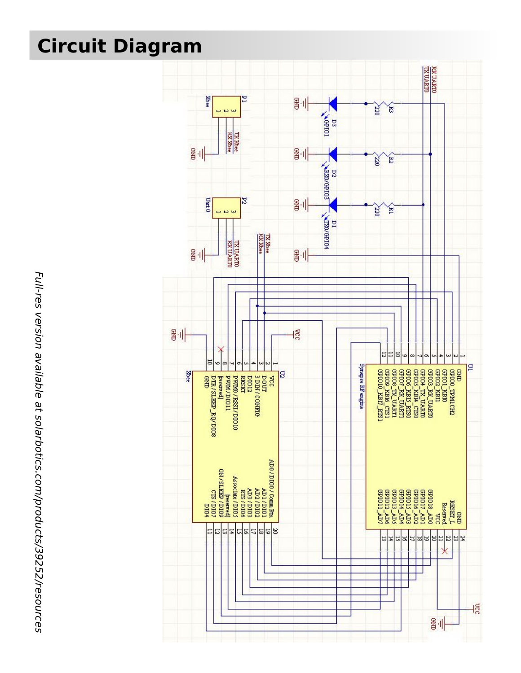# **Circuit Diagram**

Full-res version available at solarbotics.com/products/39252/resources *Full-res version available at solarbotics.com/products/39252/resources*

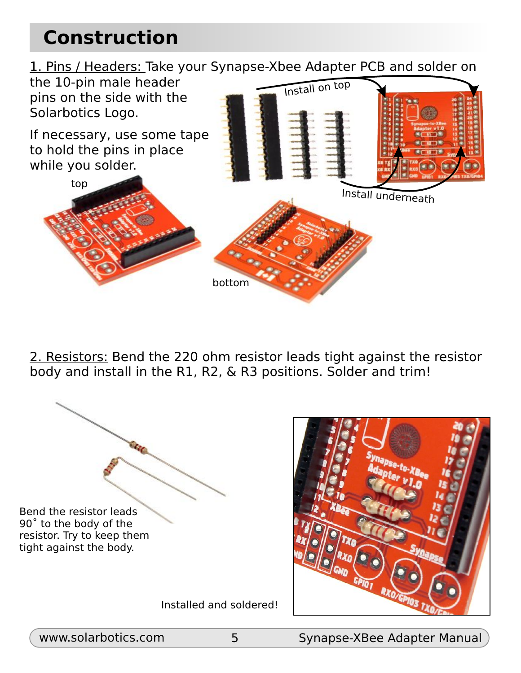# **Construction**

1. Pins / Headers: Take your Synapse-Xbee Adapter PCB and solder on

the 10-pin male header pins on the side with the Solarbotics Logo. If necessary, use some tape to hold the pins in place while you solder. bottom top Install on top Install underneath

2. Resistors: Bend the 220 ohm resistor leads tight against the resistor body and install in the R1, R2, & R3 positions. Solder and trim!

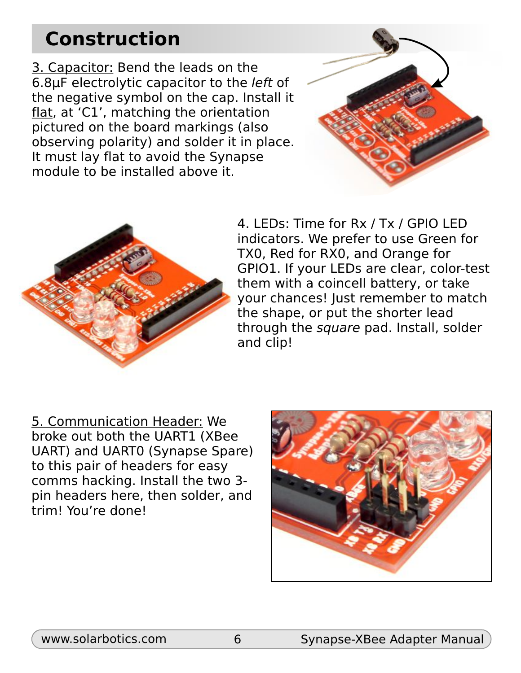### **Construction**

3. Capacitor: Bend the leads on the 6.8µF electrolytic capacitor to the *left* of the negative symbol on the cap. Install it flat, at 'C1', matching the orientation pictured on the board markings (also observing polarity) and solder it in place. It must lay flat to avoid the Synapse module to be installed above it.





4. LEDs: Time for Rx / Tx / GPIO LED indicators. We prefer to use Green for TX0, Red for RX0, and Orange for GPIO1. If your LEDs are clear, color-test them with a coincell battery, or take your chances! Just remember to match the shape, or put the shorter lead through the *square* pad. Install, solder and clip!

5. Communication Header: We broke out both the UART1 (XBee UART) and UART0 (Synapse Spare) to this pair of headers for easy comms hacking. Install the two 3 pin headers here, then solder, and trim! You're done!

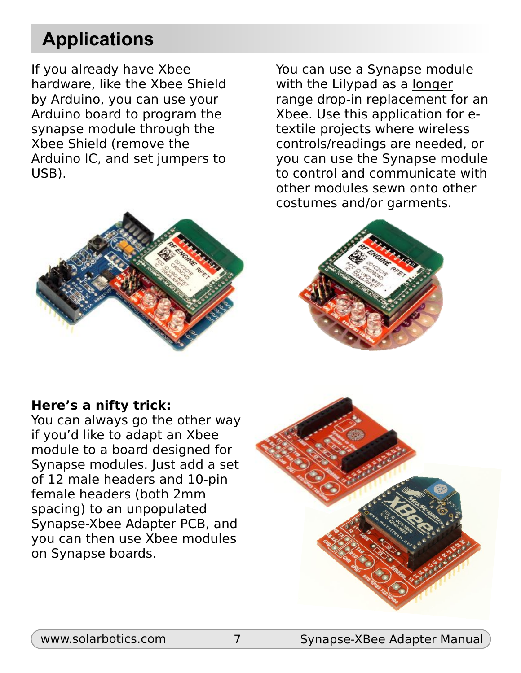## **Applications**

If you already have Xbee hardware, like the Xbee Shield by Arduino, you can use your Arduino board to program the synapse module through the Xbee Shield (remove the Arduino IC, and set jumpers to USB).



You can use a Synapse module with the Lilypad as a longer range drop-in replacement for an Xbee. Use this application for etextile projects where wireless controls/readings are needed, or you can use the Synapse module to control and communicate with other modules sewn onto other costumes and/or garments.



### **Here's a nifty trick:**

You can always go the other way if you'd like to adapt an Xbee module to a board designed for Synapse modules. Just add a set of 12 male headers and 10-pin female headers (both 2mm spacing) to an unpopulated Synapse-Xbee Adapter PCB, and you can then use Xbee modules on Synapse boards.